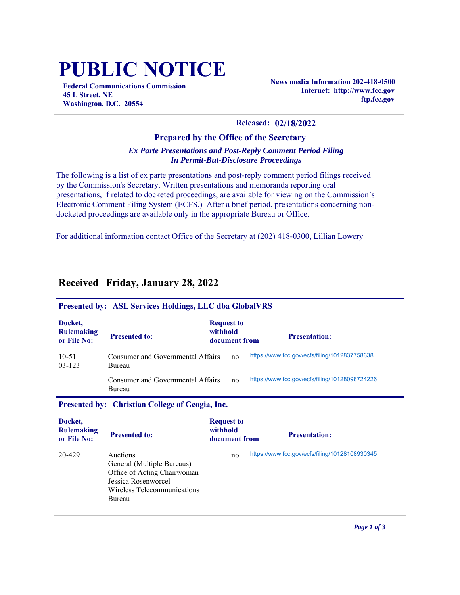# **PUBLIC NOTICE**

**Federal Communications Commission 45 L Street, NE Washington, D.C. 20554**

**News media Information 202-418-0500 Internet: http://www.fcc.gov ftp.fcc.gov**

#### **Released: 02/18/2022**

#### **Prepared by the Office of the Secretary** *Ex Parte Presentations and Post-Reply Comment Period Filing In Permit-But-Disclosure Proceedings*

The following is a list of ex parte presentations and post-reply comment period filings received by the Commission's Secretary. Written presentations and memoranda reporting oral presentations, if related to docketed proceedings, are available for viewing on the Commission's Electronic Comment Filing System (ECFS.) After a brief period, presentations concerning nondocketed proceedings are available only in the appropriate Bureau or Office.

For additional information contact Office of the Secretary at (202) 418-0300, Lillian Lowery

| <b>Presented by: ASL Services Holdings, LLC dba GlobalVRS</b> |                                             |                                                |                                                |  |
|---------------------------------------------------------------|---------------------------------------------|------------------------------------------------|------------------------------------------------|--|
| Docket,<br><b>Rulemaking</b><br>or File No:                   | <b>Presented to:</b>                        | <b>Request to</b><br>withhold<br>document from | <b>Presentation:</b>                           |  |
| $10 - 51$<br>$03 - 123$                                       | Consumer and Governmental Affairs<br>Bureau | no                                             | https://www.fcc.gov/ecfs/filing/1012837758638  |  |
|                                                               | Consumer and Governmental Affairs<br>Bureau | no                                             | https://www.fcc.gov/ecfs/filing/10128098724226 |  |
| Presented by: Christian College of Geogia, Inc.               |                                             |                                                |                                                |  |
|                                                               |                                             |                                                |                                                |  |
| Docket,                                                       |                                             | <b>Request to</b>                              |                                                |  |
| <b>Rulemaking</b><br>or File No:                              | <b>Presented to:</b>                        | withhold<br>document from                      | <b>Presentation:</b>                           |  |

## **Received Friday, January 28, 2022**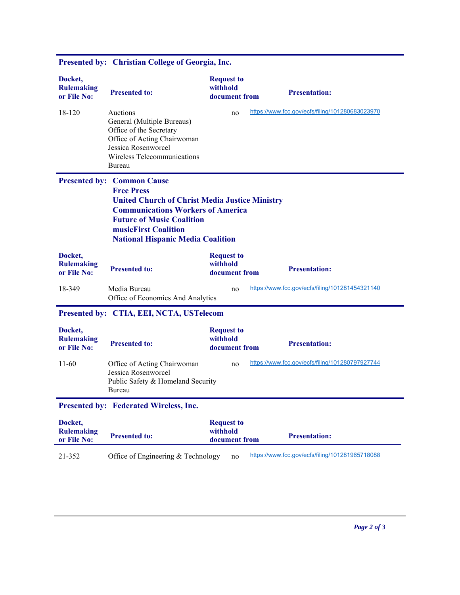| Docket,<br><b>Rulemaking</b><br>or File No:   | <b>Presented to:</b>                                                                                                                                                                                                                                                | <b>Request to</b><br>withhold<br>document from | <b>Presentation:</b>                            |
|-----------------------------------------------|---------------------------------------------------------------------------------------------------------------------------------------------------------------------------------------------------------------------------------------------------------------------|------------------------------------------------|-------------------------------------------------|
| 18-120                                        | Auctions<br>General (Multiple Bureaus)<br>Office of the Secretary<br>Office of Acting Chairwoman<br>Jessica Rosenworcel<br>Wireless Telecommunications<br>Bureau                                                                                                    | no                                             | https://www.fcc.gov/ecfs/filing/101280683023970 |
|                                               | <b>Presented by: Common Cause</b><br><b>Free Press</b><br><b>United Church of Christ Media Justice Ministry</b><br><b>Communications Workers of America</b><br><b>Future of Music Coalition</b><br>musicFirst Coalition<br><b>National Hispanic Media Coalition</b> |                                                |                                                 |
| Docket,<br><b>Rulemaking</b><br>or File No:   | <b>Presented to:</b>                                                                                                                                                                                                                                                | <b>Request to</b><br>withhold<br>document from | <b>Presentation:</b>                            |
| 18-349                                        | Media Bureau<br>Office of Economics And Analytics                                                                                                                                                                                                                   | no                                             | https://www.fcc.gov/ecfs/filing/101281454321140 |
| Presented by: CTIA, EEI, NCTA, USTelecom      |                                                                                                                                                                                                                                                                     |                                                |                                                 |
| Docket,<br><b>Rulemaking</b><br>or File No:   | <b>Presented to:</b>                                                                                                                                                                                                                                                | <b>Request to</b><br>withhold<br>document from | <b>Presentation:</b>                            |
| $11-60$                                       | Office of Acting Chairwoman<br>Jessica Rosenworcel<br>Public Safety & Homeland Security<br>Bureau                                                                                                                                                                   | no                                             | https://www.fcc.gov/ecfs/filing/101280797927744 |
| <b>Presented by: Federated Wireless, Inc.</b> |                                                                                                                                                                                                                                                                     |                                                |                                                 |
| Docket,<br><b>Rulemaking</b><br>or File No:   | <b>Presented to:</b>                                                                                                                                                                                                                                                | <b>Request to</b><br>withhold<br>document from | <b>Presentation:</b>                            |
| 21-352                                        | Office of Engineering & Technology                                                                                                                                                                                                                                  | no                                             | https://www.fcc.gov/ecfs/filing/101281965718088 |